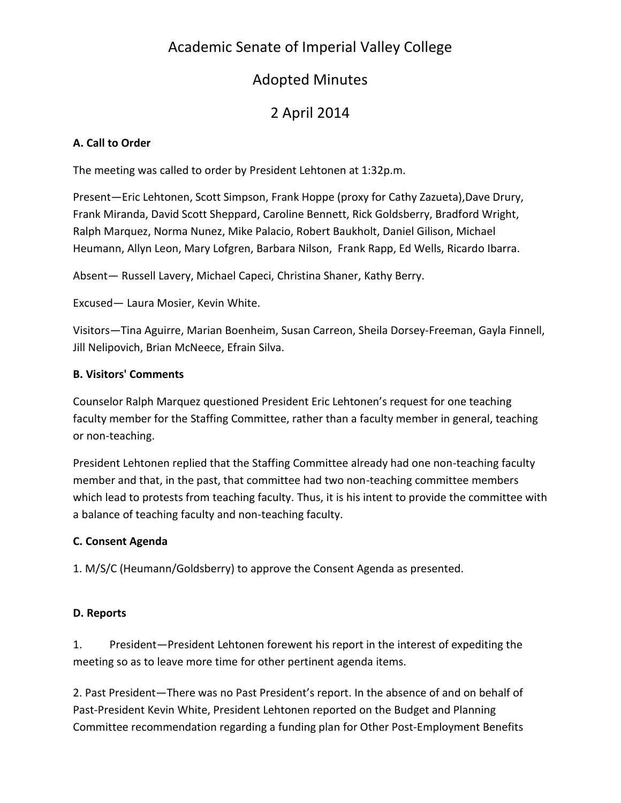## Academic Senate of Imperial Valley College

## Adopted Minutes

# 2 April 2014

#### **A. Call to Order**

The meeting was called to order by President Lehtonen at 1:32p.m.

Present—Eric Lehtonen, Scott Simpson, Frank Hoppe (proxy for Cathy Zazueta),Dave Drury, Frank Miranda, David Scott Sheppard, Caroline Bennett, Rick Goldsberry, Bradford Wright, Ralph Marquez, Norma Nunez, Mike Palacio, Robert Baukholt, Daniel Gilison, Michael Heumann, Allyn Leon, Mary Lofgren, Barbara Nilson, Frank Rapp, Ed Wells, Ricardo Ibarra.

Absent— Russell Lavery, Michael Capeci, Christina Shaner, Kathy Berry.

Excused— Laura Mosier, Kevin White.

Visitors—Tina Aguirre, Marian Boenheim, Susan Carreon, Sheila Dorsey-Freeman, Gayla Finnell, Jill Nelipovich, Brian McNeece, Efrain Silva.

### **B. Visitors' Comments**

Counselor Ralph Marquez questioned President Eric Lehtonen's request for one teaching faculty member for the Staffing Committee, rather than a faculty member in general, teaching or non-teaching.

President Lehtonen replied that the Staffing Committee already had one non-teaching faculty member and that, in the past, that committee had two non-teaching committee members which lead to protests from teaching faculty. Thus, it is his intent to provide the committee with a balance of teaching faculty and non-teaching faculty.

## **C. Consent Agenda**

1. M/S/C (Heumann/Goldsberry) to approve the Consent Agenda as presented.

## **D. Reports**

1. President—President Lehtonen forewent his report in the interest of expediting the meeting so as to leave more time for other pertinent agenda items.

2. Past President—There was no Past President's report. In the absence of and on behalf of Past-President Kevin White, President Lehtonen reported on the Budget and Planning Committee recommendation regarding a funding plan for Other Post-Employment Benefits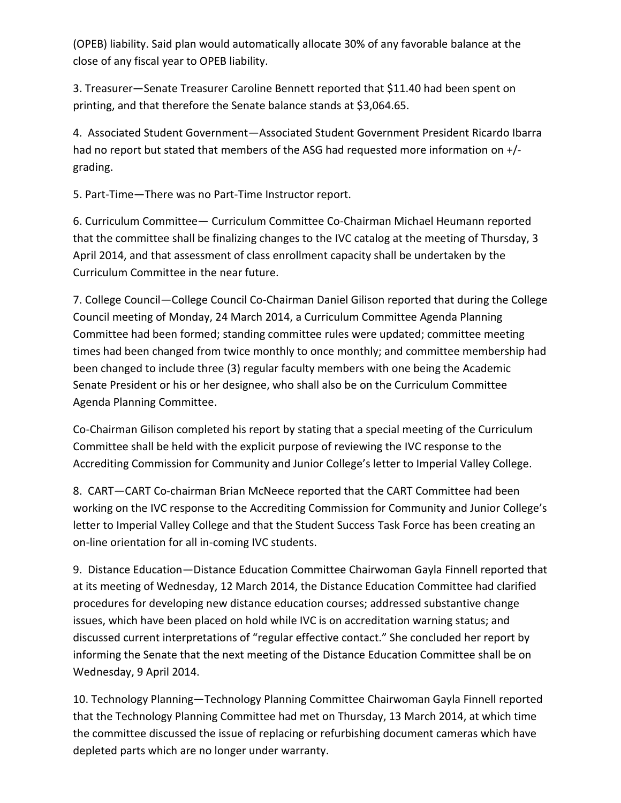(OPEB) liability. Said plan would automatically allocate 30% of any favorable balance at the close of any fiscal year to OPEB liability.

3. Treasurer—Senate Treasurer Caroline Bennett reported that \$11.40 had been spent on printing, and that therefore the Senate balance stands at \$3,064.65.

4. Associated Student Government—Associated Student Government President Ricardo Ibarra had no report but stated that members of the ASG had requested more information on +/ grading.

5. Part-Time—There was no Part-Time Instructor report.

6. Curriculum Committee— Curriculum Committee Co-Chairman Michael Heumann reported that the committee shall be finalizing changes to the IVC catalog at the meeting of Thursday, 3 April 2014, and that assessment of class enrollment capacity shall be undertaken by the Curriculum Committee in the near future.

7. College Council—College Council Co-Chairman Daniel Gilison reported that during the College Council meeting of Monday, 24 March 2014, a Curriculum Committee Agenda Planning Committee had been formed; standing committee rules were updated; committee meeting times had been changed from twice monthly to once monthly; and committee membership had been changed to include three (3) regular faculty members with one being the Academic Senate President or his or her designee, who shall also be on the Curriculum Committee Agenda Planning Committee.

Co-Chairman Gilison completed his report by stating that a special meeting of the Curriculum Committee shall be held with the explicit purpose of reviewing the IVC response to the Accrediting Commission for Community and Junior College's letter to Imperial Valley College.

8. CART—CART Co-chairman Brian McNeece reported that the CART Committee had been working on the IVC response to the Accrediting Commission for Community and Junior College's letter to Imperial Valley College and that the Student Success Task Force has been creating an on-line orientation for all in-coming IVC students.

9. Distance Education—Distance Education Committee Chairwoman Gayla Finnell reported that at its meeting of Wednesday, 12 March 2014, the Distance Education Committee had clarified procedures for developing new distance education courses; addressed substantive change issues, which have been placed on hold while IVC is on accreditation warning status; and discussed current interpretations of "regular effective contact." She concluded her report by informing the Senate that the next meeting of the Distance Education Committee shall be on Wednesday, 9 April 2014.

10. Technology Planning—Technology Planning Committee Chairwoman Gayla Finnell reported that the Technology Planning Committee had met on Thursday, 13 March 2014, at which time the committee discussed the issue of replacing or refurbishing document cameras which have depleted parts which are no longer under warranty.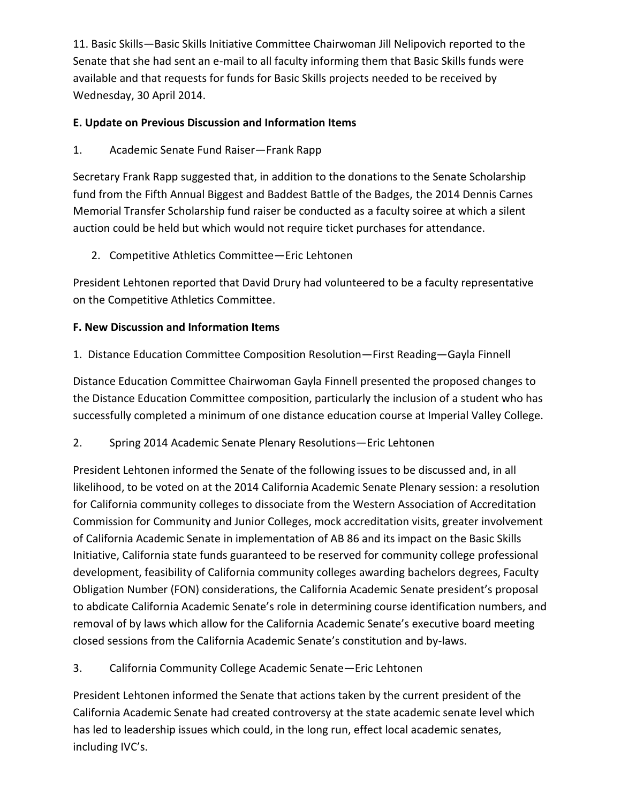11. Basic Skills—Basic Skills Initiative Committee Chairwoman Jill Nelipovich reported to the Senate that she had sent an e-mail to all faculty informing them that Basic Skills funds were available and that requests for funds for Basic Skills projects needed to be received by Wednesday, 30 April 2014.

#### **E. Update on Previous Discussion and Information Items**

1. Academic Senate Fund Raiser—Frank Rapp

Secretary Frank Rapp suggested that, in addition to the donations to the Senate Scholarship fund from the Fifth Annual Biggest and Baddest Battle of the Badges, the 2014 Dennis Carnes Memorial Transfer Scholarship fund raiser be conducted as a faculty soiree at which a silent auction could be held but which would not require ticket purchases for attendance.

2. Competitive Athletics Committee—Eric Lehtonen

President Lehtonen reported that David Drury had volunteered to be a faculty representative on the Competitive Athletics Committee.

### **F. New Discussion and Information Items**

1. Distance Education Committee Composition Resolution—First Reading—Gayla Finnell

Distance Education Committee Chairwoman Gayla Finnell presented the proposed changes to the Distance Education Committee composition, particularly the inclusion of a student who has successfully completed a minimum of one distance education course at Imperial Valley College.

2. Spring 2014 Academic Senate Plenary Resolutions—Eric Lehtonen

President Lehtonen informed the Senate of the following issues to be discussed and, in all likelihood, to be voted on at the 2014 California Academic Senate Plenary session: a resolution for California community colleges to dissociate from the Western Association of Accreditation Commission for Community and Junior Colleges, mock accreditation visits, greater involvement of California Academic Senate in implementation of AB 86 and its impact on the Basic Skills Initiative, California state funds guaranteed to be reserved for community college professional development, feasibility of California community colleges awarding bachelors degrees, Faculty Obligation Number (FON) considerations, the California Academic Senate president's proposal to abdicate California Academic Senate's role in determining course identification numbers, and removal of by laws which allow for the California Academic Senate's executive board meeting closed sessions from the California Academic Senate's constitution and by-laws.

3. California Community College Academic Senate—Eric Lehtonen

President Lehtonen informed the Senate that actions taken by the current president of the California Academic Senate had created controversy at the state academic senate level which has led to leadership issues which could, in the long run, effect local academic senates, including IVC's.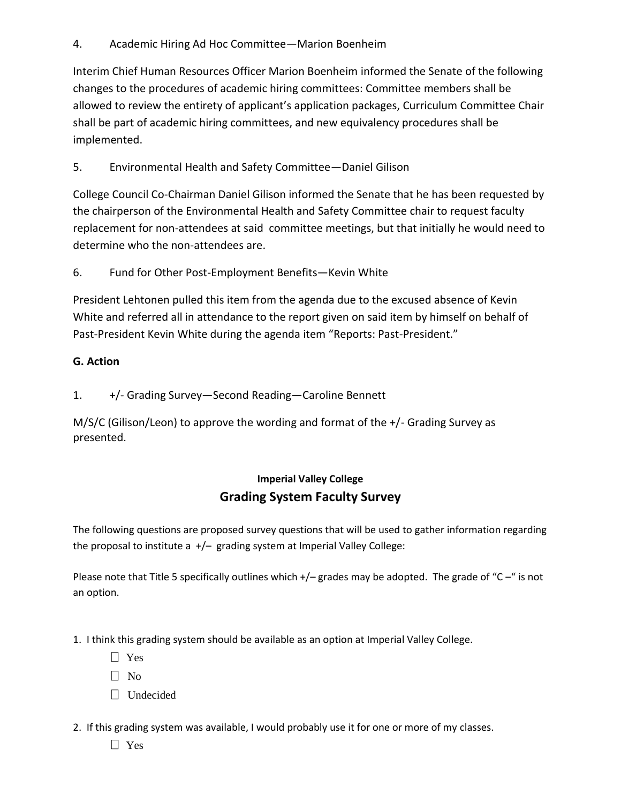4. Academic Hiring Ad Hoc Committee—Marion Boenheim

Interim Chief Human Resources Officer Marion Boenheim informed the Senate of the following changes to the procedures of academic hiring committees: Committee members shall be allowed to review the entirety of applicant's application packages, Curriculum Committee Chair shall be part of academic hiring committees, and new equivalency procedures shall be implemented.

5. Environmental Health and Safety Committee—Daniel Gilison

College Council Co-Chairman Daniel Gilison informed the Senate that he has been requested by the chairperson of the Environmental Health and Safety Committee chair to request faculty replacement for non-attendees at said committee meetings, but that initially he would need to determine who the non-attendees are.

6. Fund for Other Post-Employment Benefits—Kevin White

President Lehtonen pulled this item from the agenda due to the excused absence of Kevin White and referred all in attendance to the report given on said item by himself on behalf of Past-President Kevin White during the agenda item "Reports: Past-President."

#### **G. Action**

1. +/- Grading Survey—Second Reading—Caroline Bennett

M/S/C (Gilison/Leon) to approve the wording and format of the +/- Grading Survey as presented.

## **Imperial Valley College Grading System Faculty Survey**

The following questions are proposed survey questions that will be used to gather information regarding the proposal to institute a +/– grading system at Imperial Valley College:

Please note that Title 5 specifically outlines which +/- grades may be adopted. The grade of "C-" is not an option.

- 1. I think this grading system should be available as an option at Imperial Valley College.
	- Yes
	- $\Box$  No
	- Undecided
- 2. If this grading system was available, I would probably use it for one or more of my classes.
	- $\Box$  Yes